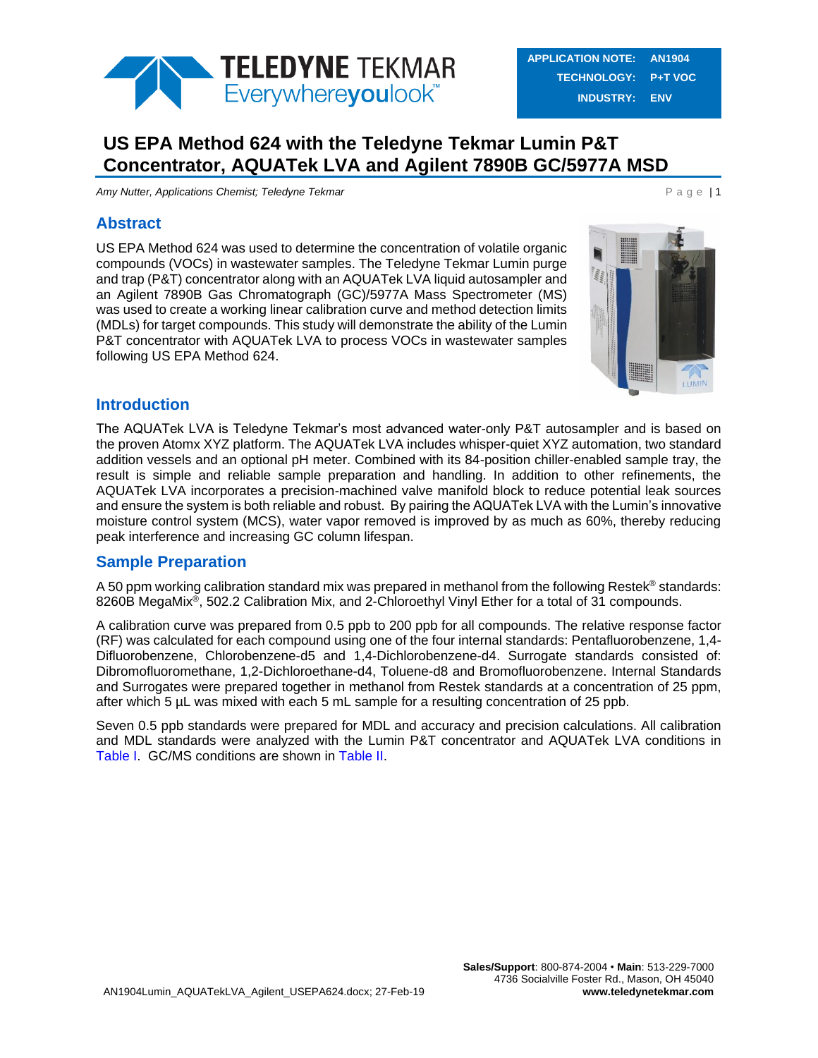

# **US EPA Method 624 with the Teledyne Tekmar Lumin P&T Concentrator, AQUATek LVA and Agilent 7890B GC/5977A MSD**

*Amy Nutter, Applications Chemist; Teledyne Tekmar* **P and Chemistic P a g e | 1** 

### **Abstract**

US EPA Method 624 was used to determine the concentration of volatile organic compounds (VOCs) in wastewater samples. The Teledyne Tekmar Lumin purge and trap (P&T) concentrator along with an AQUATek LVA liquid autosampler and an Agilent 7890B Gas Chromatograph (GC)/5977A Mass Spectrometer (MS) was used to create a working linear calibration curve and method detection limits (MDLs) for target compounds. This study will demonstrate the ability of the Lumin P&T concentrator with AQUATek LVA to process VOCs in wastewater samples following US EPA Method 624.



#### **Introduction**

The AQUATek LVA is Teledyne Tekmar's most advanced water-only P&T autosampler and is based on the proven Atomx XYZ platform. The AQUATek LVA includes whisper-quiet XYZ automation, two standard addition vessels and an optional pH meter. Combined with its 84-position chiller-enabled sample tray, the result is simple and reliable sample preparation and handling. In addition to other refinements, the AQUATek LVA incorporates a precision-machined valve manifold block to reduce potential leak sources and ensure the system is both reliable and robust. By pairing the AQUATek LVA with the Lumin's innovative moisture control system (MCS), water vapor removed is improved by as much as 60%, thereby reducing peak interference and increasing GC column lifespan.

## **Sample Preparation**

A 50 ppm working calibration standard mix was prepared in methanol from the following Restek<sup>®</sup> standards: 8260B MegaMix<sup>®</sup>, 502.2 Calibration Mix, and 2-Chloroethyl Vinyl Ether for a total of 31 compounds.

A calibration curve was prepared from 0.5 ppb to 200 ppb for all compounds. The relative response factor (RF) was calculated for each compound using one of the four internal standards: Pentafluorobenzene, 1,4- Difluorobenzene, Chlorobenzene-d5 and 1,4-Dichlorobenzene-d4. Surrogate standards consisted of: Dibromofluoromethane, 1,2-Dichloroethane-d4, Toluene-d8 and Bromofluorobenzene. Internal Standards and Surrogates were prepared together in methanol from Restek standards at a concentration of 25 ppm, after which 5 µL was mixed with each 5 mL sample for a resulting concentration of 25 ppb.

Seven 0.5 ppb standards were prepared for MDL and accuracy and precision calculations. All calibration and MDL standards were analyzed with the Lumin P&T concentrator and AQUATek LVA conditions in [Table I.](#page-1-0) GC/MS conditions are shown in [Table II.](#page-2-0)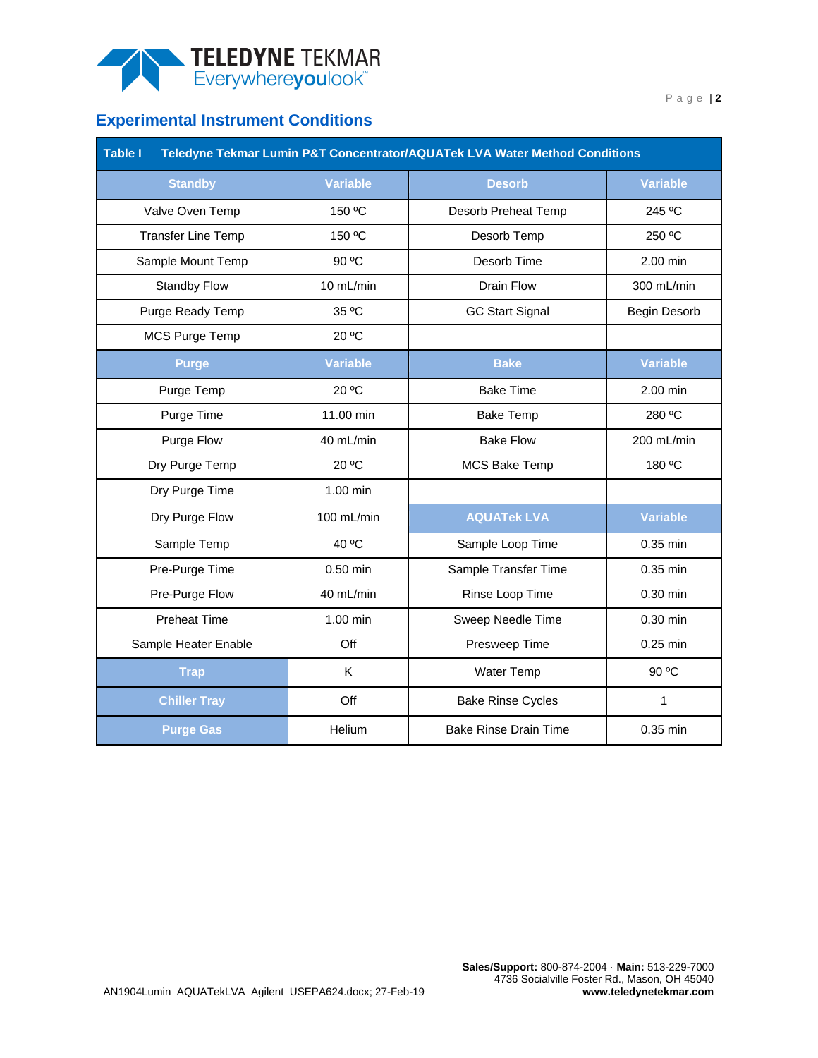

## **Experimental Instrument Conditions**

<span id="page-1-0"></span>

| <b>Table I</b><br>Teledyne Tekmar Lumin P&T Concentrator/AQUATek LVA Water Method Conditions |                 |                              |                 |  |  |
|----------------------------------------------------------------------------------------------|-----------------|------------------------------|-----------------|--|--|
| <b>Standby</b>                                                                               | <b>Variable</b> | <b>Desorb</b>                | <b>Variable</b> |  |  |
| Valve Oven Temp                                                                              | 150 °C          | Desorb Preheat Temp          | 245 °C          |  |  |
| <b>Transfer Line Temp</b>                                                                    | 150 °C          | Desorb Temp                  | 250 °C          |  |  |
| Sample Mount Temp                                                                            | 90 °C           | Desorb Time                  | 2.00 min        |  |  |
| <b>Standby Flow</b>                                                                          | 10 mL/min       | Drain Flow                   | 300 mL/min      |  |  |
| Purge Ready Temp                                                                             | 35 °C           | <b>GC Start Signal</b>       | Begin Desorb    |  |  |
| MCS Purge Temp                                                                               | 20 °C           |                              |                 |  |  |
| <b>Purge</b>                                                                                 | <b>Variable</b> | <b>Bake</b>                  | <b>Variable</b> |  |  |
| Purge Temp                                                                                   | 20 °C           | <b>Bake Time</b>             | 2.00 min        |  |  |
| Purge Time                                                                                   | 11.00 min       | <b>Bake Temp</b>             | 280 °C          |  |  |
| Purge Flow                                                                                   | 40 mL/min       | <b>Bake Flow</b>             | 200 mL/min      |  |  |
| Dry Purge Temp                                                                               | 20 °C           | <b>MCS Bake Temp</b>         | 180 °C          |  |  |
| Dry Purge Time                                                                               | 1.00 min        |                              |                 |  |  |
| Dry Purge Flow                                                                               | 100 mL/min      | <b>AQUATek LVA</b>           | <b>Variable</b> |  |  |
| Sample Temp                                                                                  | 40 °C           | Sample Loop Time             | 0.35 min        |  |  |
| Pre-Purge Time                                                                               | 0.50 min        | Sample Transfer Time         | 0.35 min        |  |  |
| Pre-Purge Flow                                                                               | 40 mL/min       | Rinse Loop Time              | 0.30 min        |  |  |
| <b>Preheat Time</b>                                                                          | 1.00 min        | Sweep Needle Time            | $0.30$ min      |  |  |
| Sample Heater Enable                                                                         | Off             | Presweep Time                | 0.25 min        |  |  |
| <b>Trap</b>                                                                                  | K               | <b>Water Temp</b>            | 90 °C           |  |  |
| <b>Chiller Tray</b>                                                                          | Off             | <b>Bake Rinse Cycles</b>     | 1               |  |  |
| <b>Purge Gas</b>                                                                             | Helium          | <b>Bake Rinse Drain Time</b> | 0.35 min        |  |  |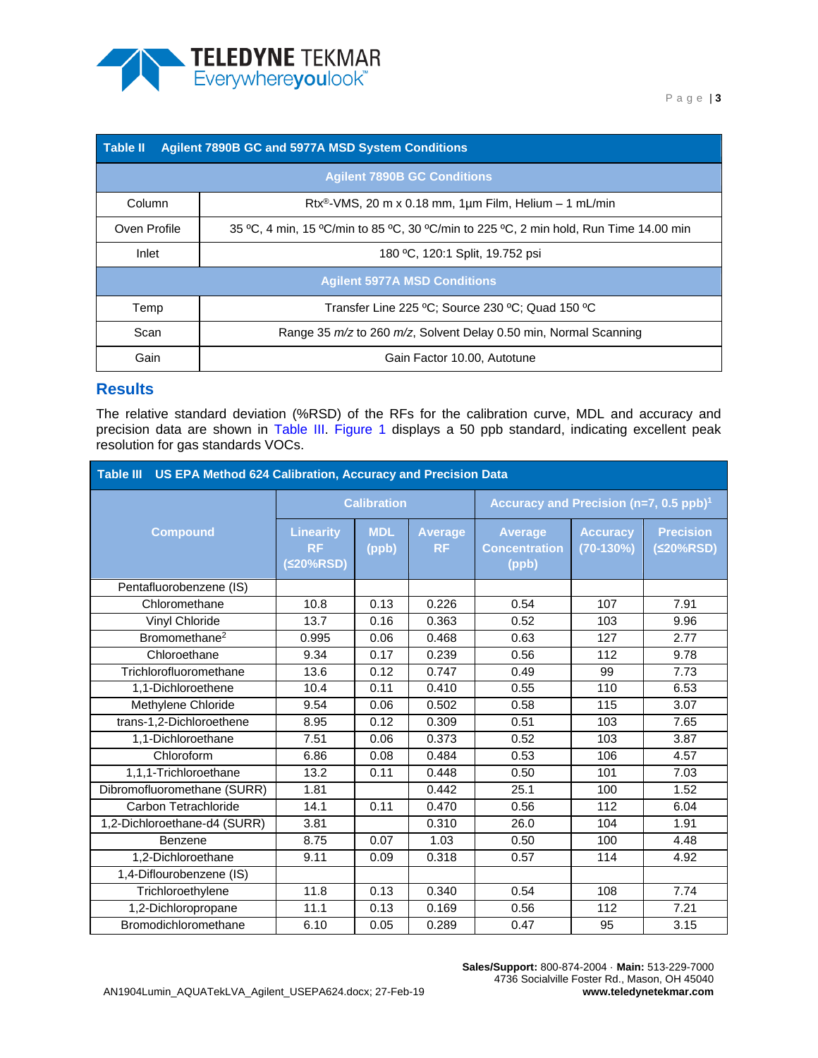

<span id="page-2-0"></span>

| Table II<br><b>Agilent 7890B GC and 5977A MSD System Conditions</b> |                                                                                       |  |  |  |  |  |
|---------------------------------------------------------------------|---------------------------------------------------------------------------------------|--|--|--|--|--|
| <b>Agilent 7890B GC Conditions</b>                                  |                                                                                       |  |  |  |  |  |
| Column                                                              | Rtx <sup>®</sup> -VMS, 20 m x 0.18 mm, 1µm Film, Helium - 1 mL/min                    |  |  |  |  |  |
| Oven Profile                                                        | 35 °C, 4 min, 15 °C/min to 85 °C, 30 °C/min to 225 °C, 2 min hold, Run Time 14.00 min |  |  |  |  |  |
| Inlet                                                               | 180 °C, 120:1 Split, 19.752 psi                                                       |  |  |  |  |  |
| <b>Agilent 5977A MSD Conditions</b>                                 |                                                                                       |  |  |  |  |  |
| Temp                                                                | Transfer Line 225 °C: Source 230 °C: Quad 150 °C                                      |  |  |  |  |  |
| Scan                                                                | Range 35 m/z to 260 m/z, Solvent Delay 0.50 min, Normal Scanning                      |  |  |  |  |  |
| Gain                                                                | Gain Factor 10.00, Autotune                                                           |  |  |  |  |  |

#### **Results**

The relative standard deviation (%RSD) of the RFs for the calibration curve, MDL and accuracy and precision data are shown in [Table III.](#page-2-1) [Figure 1](#page-3-0) displays a 50 ppb standard, indicating excellent peak resolution for gas standards VOCs.

<span id="page-2-1"></span>

| Table III US EPA Method 624 Calibration, Accuracy and Precision Data |                                               |                     |                             |                                                    |                                |                               |  |
|----------------------------------------------------------------------|-----------------------------------------------|---------------------|-----------------------------|----------------------------------------------------|--------------------------------|-------------------------------|--|
|                                                                      | <b>Calibration</b>                            |                     |                             | Accuracy and Precision (n=7, 0.5 ppb) <sup>1</sup> |                                |                               |  |
| <b>Compound</b>                                                      | <b>Linearity</b><br><b>RF</b><br>$(520\%RSD)$ | <b>MDL</b><br>(ppb) | <b>Average</b><br><b>RF</b> | <b>Average</b><br><b>Concentration</b><br>(ppb)    | <b>Accuracy</b><br>$(70-130%)$ | <b>Precision</b><br>(≤20%RSD) |  |
| Pentafluorobenzene (IS)                                              |                                               |                     |                             |                                                    |                                |                               |  |
| Chloromethane                                                        | 10.8                                          | 0.13                | 0.226                       | 0.54                                               | 107                            | 7.91                          |  |
| Vinyl Chloride                                                       | 13.7                                          | 0.16                | 0.363                       | 0.52                                               | 103                            | 9.96                          |  |
| Bromomethane <sup>2</sup>                                            | 0.995                                         | 0.06                | 0.468                       | 0.63                                               | 127                            | 2.77                          |  |
| Chloroethane                                                         | 9.34                                          | 0.17                | 0.239                       | 0.56                                               | 112                            | 9.78                          |  |
| Trichlorofluoromethane                                               | 13.6                                          | 0.12                | 0.747                       | 0.49                                               | 99                             | 7.73                          |  |
| 1,1-Dichloroethene                                                   | 10.4                                          | 0.11                | 0.410                       | 0.55                                               | 110                            | 6.53                          |  |
| Methylene Chloride                                                   | 9.54                                          | 0.06                | 0.502                       | 0.58                                               | 115                            | 3.07                          |  |
| trans-1,2-Dichloroethene                                             | 8.95                                          | 0.12                | 0.309                       | 0.51                                               | 103                            | 7.65                          |  |
| 1,1-Dichloroethane                                                   | 7.51                                          | 0.06                | 0.373                       | 0.52                                               | 103                            | 3.87                          |  |
| Chloroform                                                           | 6.86                                          | 0.08                | 0.484                       | 0.53                                               | 106                            | 4.57                          |  |
| 1,1,1-Trichloroethane                                                | 13.2                                          | 0.11                | 0.448                       | 0.50                                               | 101                            | 7.03                          |  |
| Dibromofluoromethane (SURR)                                          | 1.81                                          |                     | 0.442                       | 25.1                                               | 100                            | 1.52                          |  |
| Carbon Tetrachloride                                                 | 14.1                                          | 0.11                | 0.470                       | 0.56                                               | 112                            | 6.04                          |  |
| 1,2-Dichloroethane-d4 (SURR)                                         | 3.81                                          |                     | 0.310                       | 26.0                                               | 104                            | 1.91                          |  |
| Benzene                                                              | 8.75                                          | 0.07                | 1.03                        | 0.50                                               | 100                            | 4.48                          |  |
| 1.2-Dichloroethane                                                   | 9.11                                          | 0.09                | 0.318                       | 0.57                                               | 114                            | 4.92                          |  |
| 1,4-Diflourobenzene (IS)                                             |                                               |                     |                             |                                                    |                                |                               |  |
| Trichloroethylene                                                    | 11.8                                          | 0.13                | 0.340                       | 0.54                                               | 108                            | 7.74                          |  |
| 1,2-Dichloropropane                                                  | 11.1                                          | 0.13                | 0.169                       | 0.56                                               | 112                            | 7.21                          |  |
| Bromodichloromethane                                                 | 6.10                                          | 0.05                | 0.289                       | 0.47                                               | 95                             | 3.15                          |  |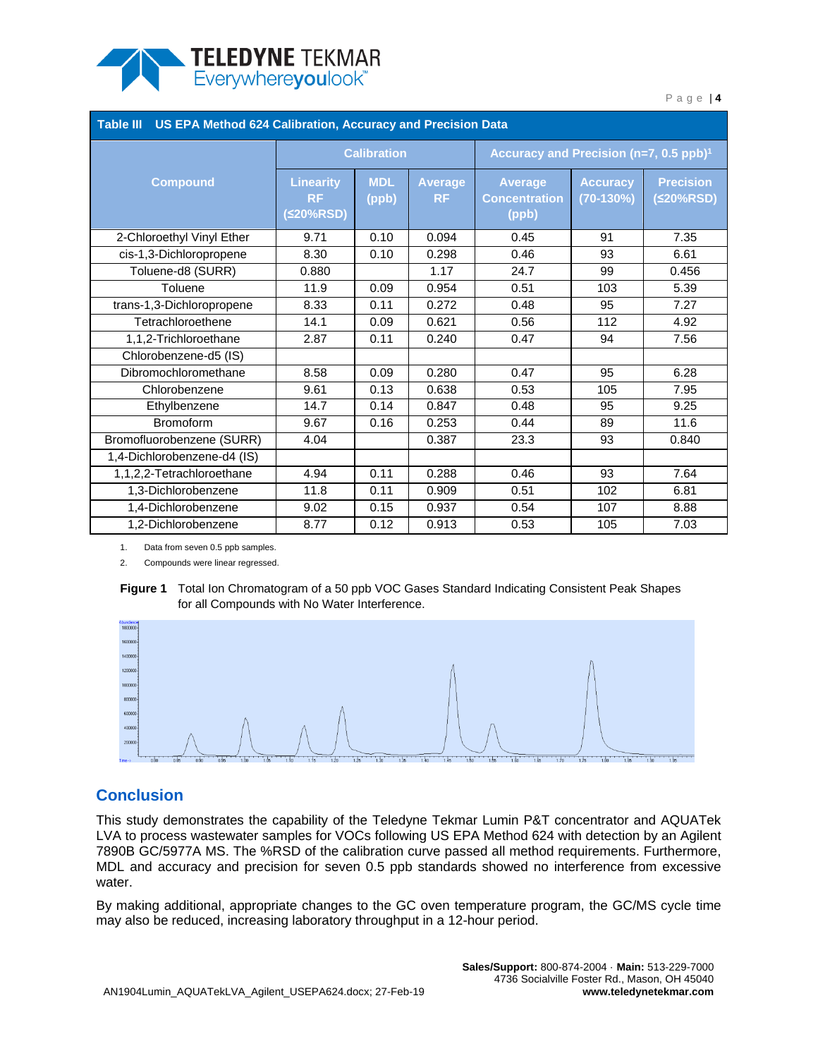

| Table III US EPA Method 624 Calibration, Accuracy and Precision Data |                                            |                     |                             |                                                    |                                |                               |  |
|----------------------------------------------------------------------|--------------------------------------------|---------------------|-----------------------------|----------------------------------------------------|--------------------------------|-------------------------------|--|
|                                                                      | <b>Calibration</b>                         |                     |                             | Accuracy and Precision (n=7, 0.5 ppb) <sup>1</sup> |                                |                               |  |
| <b>Compound</b>                                                      | <b>Linearity</b><br><b>RF</b><br>(≤20%RSD) | <b>MDL</b><br>(ppb) | <b>Average</b><br><b>RF</b> | <b>Average</b><br><b>Concentration</b><br>(ppb)    | <b>Accuracy</b><br>$(70-130%)$ | <b>Precision</b><br>(≤20%RSD) |  |
| 2-Chloroethyl Vinyl Ether                                            | 9.71                                       | 0.10                | 0.094                       | 0.45                                               | 91                             | 7.35                          |  |
| cis-1,3-Dichloropropene                                              | 8.30                                       | 0.10                | 0.298                       | 0.46                                               | 93                             | 6.61                          |  |
| Toluene-d8 (SURR)                                                    | 0.880                                      |                     | 1.17                        | 24.7                                               | 99                             | 0.456                         |  |
| Toluene                                                              | 11.9                                       | 0.09                | 0.954                       | 0.51                                               | 103                            | 5.39                          |  |
| trans-1,3-Dichloropropene                                            | 8.33                                       | 0.11                | 0.272                       | 0.48                                               | 95                             | 7.27                          |  |
| Tetrachloroethene                                                    | 14.1                                       | 0.09                | 0.621                       | 0.56                                               | 112                            | 4.92                          |  |
| 1,1,2-Trichloroethane                                                | 2.87                                       | 0.11                | 0.240                       | 0.47                                               | 94                             | 7.56                          |  |
| Chlorobenzene-d5 (IS)                                                |                                            |                     |                             |                                                    |                                |                               |  |
| Dibromochloromethane                                                 | 8.58                                       | 0.09                | 0.280                       | 0.47                                               | 95                             | 6.28                          |  |
| Chlorobenzene                                                        | 9.61                                       | 0.13                | 0.638                       | 0.53                                               | 105                            | 7.95                          |  |
| Ethylbenzene                                                         | 14.7                                       | 0.14                | 0.847                       | 0.48                                               | 95                             | 9.25                          |  |
| Bromoform                                                            | 9.67                                       | 0.16                | 0.253                       | 0.44                                               | 89                             | 11.6                          |  |
| Bromofluorobenzene (SURR)                                            | 4.04                                       |                     | 0.387                       | 23.3                                               | 93                             | 0.840                         |  |
| 1,4-Dichlorobenzene-d4 (IS)                                          |                                            |                     |                             |                                                    |                                |                               |  |
| 1,1,2,2-Tetrachloroethane                                            | 4.94                                       | 0.11                | 0.288                       | 0.46                                               | 93                             | 7.64                          |  |
| 1,3-Dichlorobenzene                                                  | 11.8                                       | 0.11                | 0.909                       | 0.51                                               | 102                            | 6.81                          |  |
| 1,4-Dichlorobenzene                                                  | 9.02                                       | 0.15                | 0.937                       | 0.54                                               | 107                            | 8.88                          |  |
| 1,2-Dichlorobenzene                                                  | 8.77                                       | 0.12                | 0.913                       | 0.53                                               | 105                            | 7.03                          |  |

1. Data from seven 0.5 ppb samples.

2. Compounds were linear regressed.

<span id="page-3-0"></span>



## **Conclusion**

This study demonstrates the capability of the Teledyne Tekmar Lumin P&T concentrator and AQUATek LVA to process wastewater samples for VOCs following US EPA Method 624 with detection by an Agilent 7890B GC/5977A MS. The %RSD of the calibration curve passed all method requirements. Furthermore, MDL and accuracy and precision for seven 0.5 ppb standards showed no interference from excessive water.

By making additional, appropriate changes to the GC oven temperature program, the GC/MS cycle time may also be reduced, increasing laboratory throughput in a 12-hour period.